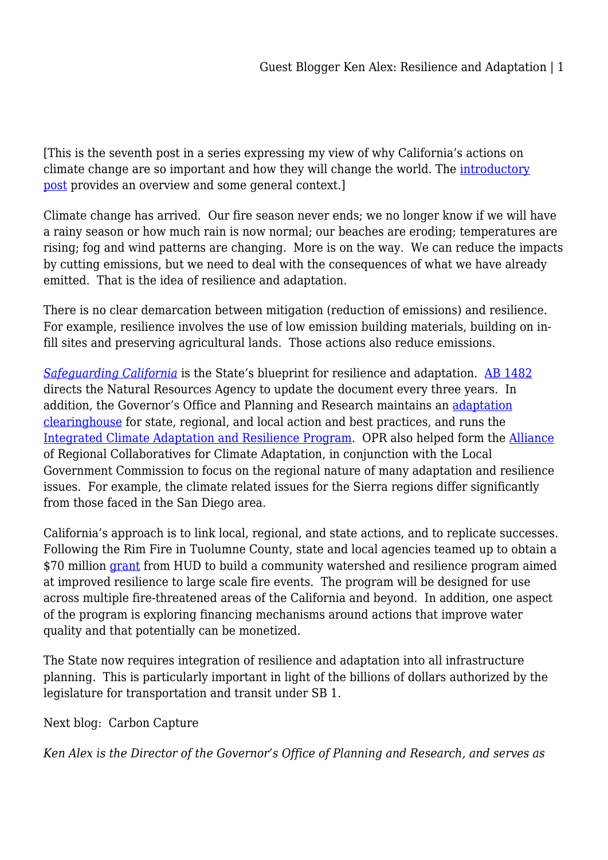[This is the seventh post in a series expressing my view of why California's actions on climate change are so important and how they will change the world. The [introductory](http://wp.me/p3Yefv-79L) [post](http://wp.me/p3Yefv-79L) provides an overview and some general context.]

Climate change has arrived. Our fire season never ends; we no longer know if we will have a rainy season or how much rain is now normal; our beaches are eroding; temperatures are rising; fog and wind patterns are changing. More is on the way. We can reduce the impacts by cutting emissions, but we need to deal with the consequences of what we have already emitted. That is the idea of resilience and adaptation.

There is no clear demarcation between mitigation (reduction of emissions) and resilience. For example, resilience involves the use of low emission building materials, building on infill sites and preserving agricultural lands. Those actions also reduce emissions.

*[Safeguarding California](http://resources.ca.gov/climate/safeguarding/)* is the State's blueprint for resilience and adaptation. [AB 1482](https://leginfo.legislature.ca.gov/faces/billTextClient.xhtml?bill_id=201520160AB1482) directs the Natural Resources Agency to update the document every three years. In addition, the Governor's Office and Planning and Research maintains an [adaptation](http://opr.ca.gov/clearinghouse/adaptation/) [clearinghouse](http://opr.ca.gov/clearinghouse/adaptation/) for state, regional, and local action and best practices, and runs the [Integrated Climate Adaptation and Resilience Program.](http://opr.ca.gov/planning/icarp/) OPR also helped form the [Alliance](http://arccacalifornia.org/about/) of Regional Collaboratives for Climate Adaptation, in conjunction with the Local Government Commission to focus on the regional nature of many adaptation and resilience issues. For example, the climate related issues for the Sierra regions differ significantly from those faced in the San Diego area.

California's approach is to link local, regional, and state actions, and to replicate successes. Following the Rim Fire in Tuolumne County, state and local agencies teamed up to obtain a \$70 million [grant](https://calepa.ca.gov/2016/01/22/caaward70m/) from HUD to build a community watershed and resilience program aimed at improved resilience to large scale fire events. The program will be designed for use across multiple fire-threatened areas of the California and beyond. In addition, one aspect of the program is exploring financing mechanisms around actions that improve water quality and that potentially can be monetized.

The State now requires integration of resilience and adaptation into all infrastructure planning. This is particularly important in light of the billions of dollars authorized by the legislature for transportation and transit under SB 1.

Next blog: Carbon Capture

*Ken Alex is the Director of the Governor's Office of Planning and Research, and serves as*